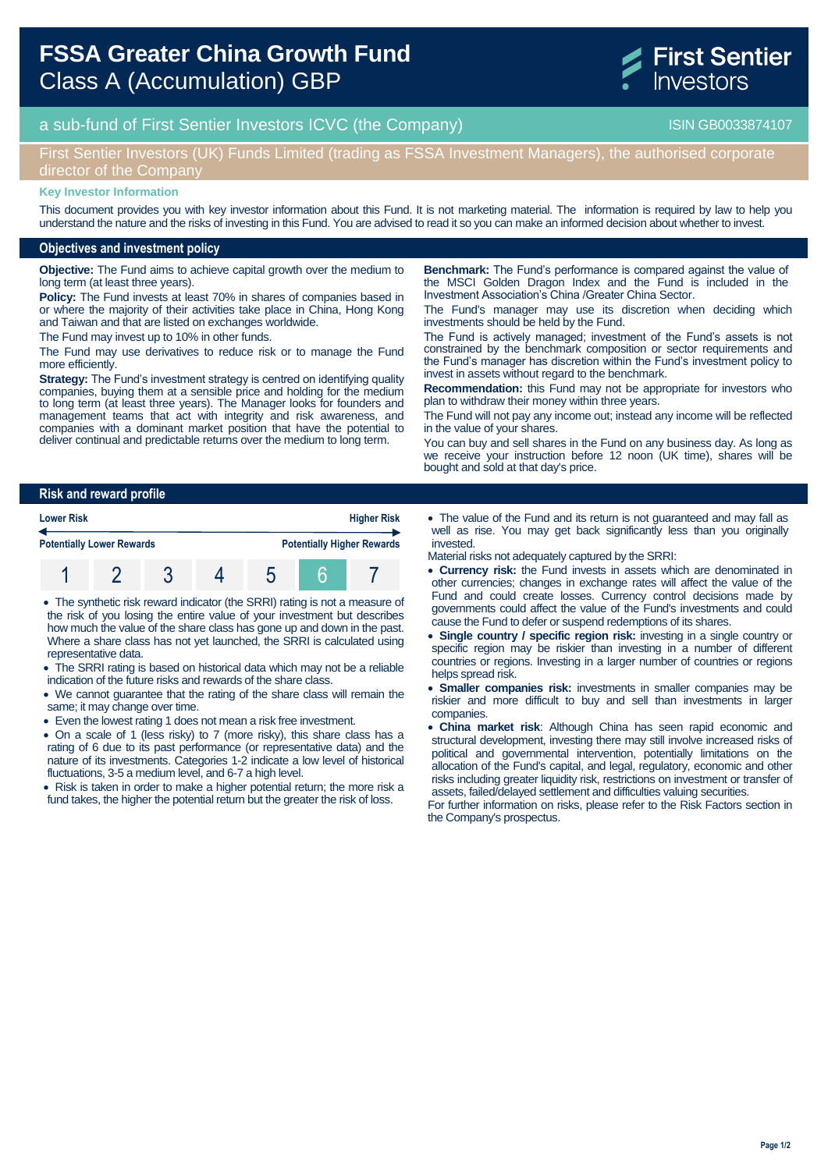

# a sub-fund of First Sentier Investors ICVC (the Company) and the Company ISIN GB0033874107

### First Sentier Investors (UK) Funds Limited (trading as FSSA Investment Managers), the authorised corporate director of the Company

#### **Key Investor Information**

This document provides you with key investor information about this Fund. It is not marketing material. The information is required by law to help you understand the nature and the risks of investing in this Fund. You are advised to read it so you can make an informed decision about whether to invest.

#### **Objectives and investment policy**

**Objective:** The Fund aims to achieve capital growth over the medium to long term (at least three years).

**Policy:** The Fund invests at least 70% in shares of companies based in or where the majority of their activities take place in China, Hong Kong and Taiwan and that are listed on exchanges worldwide.

The Fund may invest up to 10% in other funds.

The Fund may use derivatives to reduce risk or to manage the Fund more efficiently.

**Strategy:** The Fund's investment strategy is centred on identifying quality companies, buying them at a sensible price and holding for the medium to long term (at least three years). The Manager looks for founders and management teams that act with integrity and risk awareness, and companies with a dominant market position that have the potential to deliver continual and predictable returns over the medium to long term.

**Benchmark:** The Fund's performance is compared against the value of the MSCI Golden Dragon Index and the Fund is included in the Investment Association's China /Greater China Sector.

The Fund's manager may use its discretion when deciding which investments should be held by the Fund.

The Fund is actively managed; investment of the Fund's assets is not constrained by the benchmark composition or sector requirements and the Fund's manager has discretion within the Fund's investment policy to invest in assets without regard to the benchmark.

**Recommendation:** this Fund may not be appropriate for investors who plan to withdraw their money within three years.

The Fund will not pay any income out; instead any income will be reflected in the value of your shares.

You can buy and sell shares in the Fund on any business day. As long as we receive your instruction before 12 noon (UK time), shares will be bought and sold at that day's price.

#### **Risk and reward profile**

| <b>Lower Risk</b><br><b>Potentially Lower Rewards</b> |  |  |  | <b>Higher Risk</b> |                                   |  |
|-------------------------------------------------------|--|--|--|--------------------|-----------------------------------|--|
|                                                       |  |  |  |                    | <b>Potentially Higher Rewards</b> |  |
|                                                       |  |  |  |                    |                                   |  |

 The synthetic risk reward indicator (the SRRI) rating is not a measure of the risk of you losing the entire value of your investment but describes how much the value of the share class has gone up and down in the past. Where a share class has not yet launched, the SRRI is calculated using representative data.

- The SRRI rating is based on historical data which may not be a reliable indication of the future risks and rewards of the share class.
- We cannot guarantee that the rating of the share class will remain the same; it may change over time.
- Even the lowest rating 1 does not mean a risk free investment.

 On a scale of 1 (less risky) to 7 (more risky), this share class has a rating of 6 due to its past performance (or representative data) and the nature of its investments. Categories 1-2 indicate a low level of historical fluctuations, 3-5 a medium level, and 6-7 a high level.

• Risk is taken in order to make a higher potential return; the more risk a fund takes, the higher the potential return but the greater the risk of loss.

 The value of the Fund and its return is not guaranteed and may fall as well as rise. You may get back significantly less than you originally invested.

Material risks not adequately captured by the SRRI:

- **Currency risk:** the Fund invests in assets which are denominated in other currencies; changes in exchange rates will affect the value of the Fund and could create losses. Currency control decisions made by governments could affect the value of the Fund's investments and could cause the Fund to defer or suspend redemptions of its shares.
- **Single country / specific region risk:** investing in a single country or specific region may be riskier than investing in a number of different countries or regions. Investing in a larger number of countries or regions helps spread risk.
- **Smaller companies risk:** investments in smaller companies may be riskier and more difficult to buy and sell than investments in larger companies.
- **China market risk**: Although China has seen rapid economic and structural development, investing there may still involve increased risks of political and governmental intervention, potentially limitations on the allocation of the Fund's capital, and legal, regulatory, economic and other risks including greater liquidity risk, restrictions on investment or transfer of assets, failed/delayed settlement and difficulties valuing securities.

For further information on risks, please refer to the Risk Factors section in the Company's prospectus.